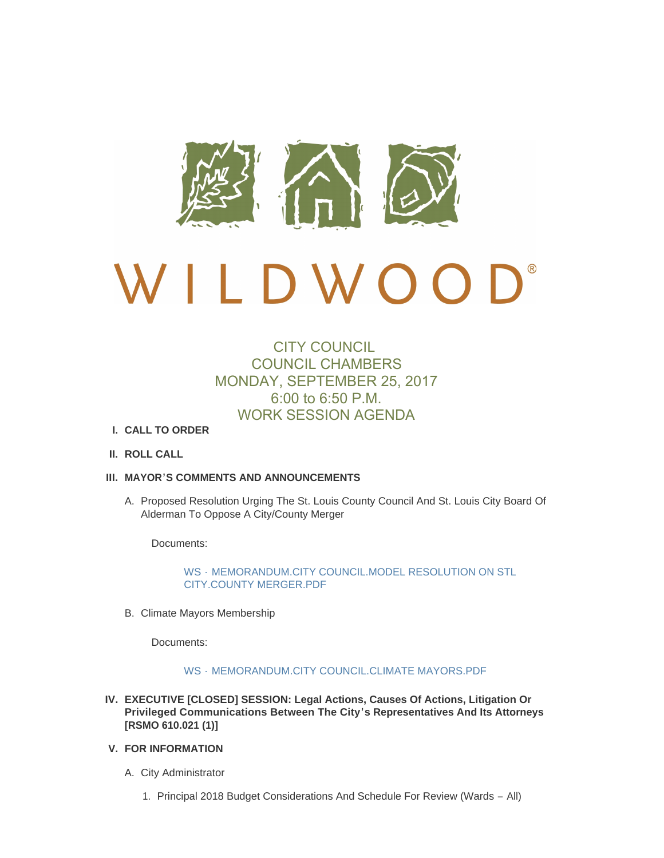

# $\mathbf{D}^*$  $D W O$  $\overline{a}$

## CITY COUNCIL COUNCIL CHAMBERS MONDAY, SEPTEMBER 25, 2017 6:00 to 6:50 P.M. WORK SESSION AGENDA

### **CALL TO ORDER I.**

**ROLL CALL II.**

#### **MAYOR'S COMMENTS AND ANNOUNCEMENTS III.**

A. Proposed Resolution Urging The St. Louis County Council And St. Louis City Board Of Alderman To Oppose A City/County Merger

Documents:

WS - [MEMORANDUM.CITY COUNCIL.MODEL RESOLUTION ON STL](http://cityofwildwood.com/AgendaCenter/ViewFile/Item/12377?fileID=17767)  CITY.COUNTY MERGER.PDF

B. Climate Mayors Membership

Documents:

#### WS - [MEMORANDUM.CITY COUNCIL.CLIMATE MAYORS.PDF](http://cityofwildwood.com/AgendaCenter/ViewFile/Item/12378?fileID=17768)

- **EXECUTIVE [CLOSED] SESSION: Legal Actions, Causes Of Actions, Litigation Or IV. Privileged Communications Between The City's Representatives And Its Attorneys [RSMO 610.021 (1)]**
- **FOR INFORMATION V.**
	- A. City Administrator
		- 1. Principal 2018 Budget Considerations And Schedule For Review (Wards All)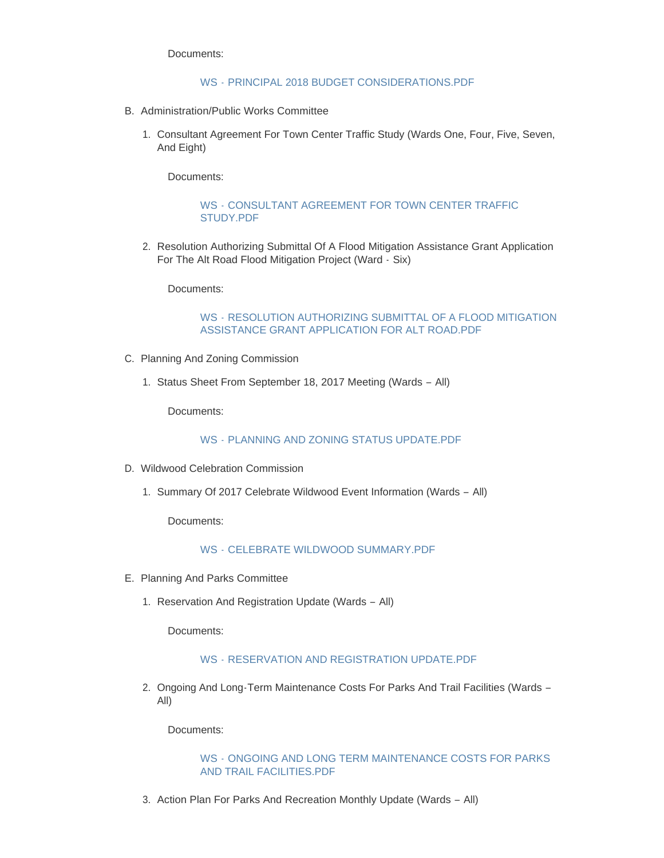Documents:

#### WS - [PRINCIPAL 2018 BUDGET CONSIDERATIONS.PDF](http://cityofwildwood.com/AgendaCenter/ViewFile/Item/12382?fileID=17769)

- B. Administration/Public Works Committee
	- 1. Consultant Agreement For Town Center Traffic Study (Wards One, Four, Five, Seven, And Eight)

Documents:

#### WS - [CONSULTANT AGREEMENT FOR TOWN CENTER TRAFFIC](http://cityofwildwood.com/AgendaCenter/ViewFile/Item/12384?fileID=17770)  STUDY.PDF

2. Resolution Authorizing Submittal Of A Flood Mitigation Assistance Grant Application For The Alt Road Flood Mitigation Project (Ward - Six)

Documents:

#### WS - [RESOLUTION AUTHORIZING SUBMITTAL OF A FLOOD MITIGATION](http://cityofwildwood.com/AgendaCenter/ViewFile/Item/12385?fileID=17771)  ASSISTANCE GRANT APPLICATION FOR ALT ROAD.PDF

- C. Planning And Zoning Commission
	- 1. Status Sheet From September 18, 2017 Meeting (Wards All)

Documents:

#### WS - [PLANNING AND ZONING STATUS UPDATE.PDF](http://cityofwildwood.com/AgendaCenter/ViewFile/Item/12387?fileID=17772)

- D. Wildwood Celebration Commission
	- 1. Summary Of 2017 Celebrate Wildwood Event Information (Wards All)

Documents:

#### WS - [CELEBRATE WILDWOOD SUMMARY.PDF](http://cityofwildwood.com/AgendaCenter/ViewFile/Item/12389?fileID=17773)

- E. Planning And Parks Committee
	- 1. Reservation And Registration Update (Wards All)

Documents:

#### WS - [RESERVATION AND REGISTRATION UPDATE.PDF](http://cityofwildwood.com/AgendaCenter/ViewFile/Item/12391?fileID=17774)

2. Ongoing And Long-Term Maintenance Costs For Parks And Trail Facilities (Wards -All)

Documents:

#### WS - [ONGOING AND LONG TERM MAINTENANCE COSTS FOR PARKS](http://cityofwildwood.com/AgendaCenter/ViewFile/Item/12392?fileID=17775)  AND TRAIL FACILITIES.PDF

3. Action Plan For Parks And Recreation Monthly Update (Wards - All)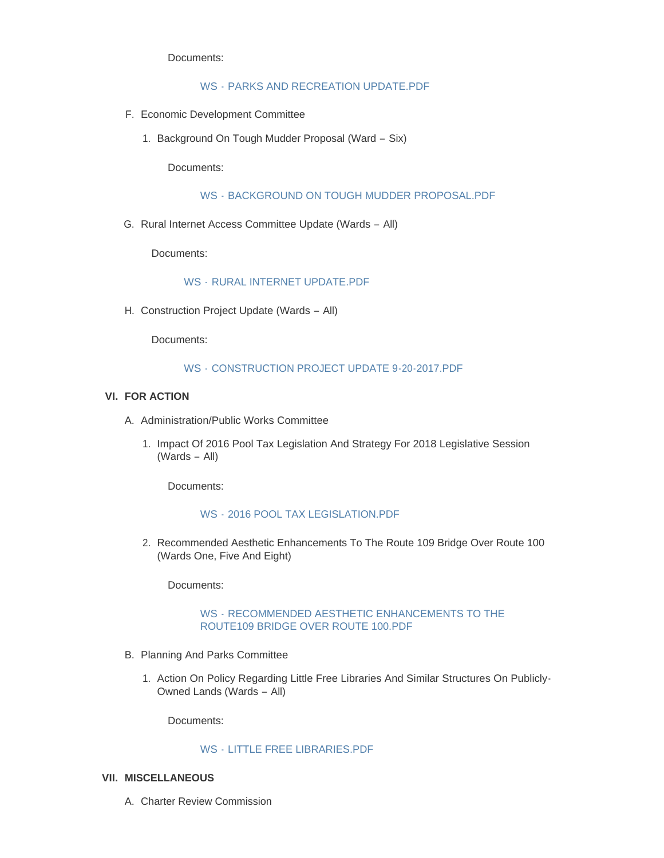Documents:

#### WS - [PARKS AND RECREATION UPDATE.PDF](http://cityofwildwood.com/AgendaCenter/ViewFile/Item/12393?fileID=17776)

- Economic Development Committee F.
	- 1. Background On Tough Mudder Proposal (Ward Six)

Documents:

WS - [BACKGROUND ON TOUGH MUDDER PROPOSAL.PDF](http://cityofwildwood.com/AgendaCenter/ViewFile/Item/12395?fileID=17777)

G. Rural Internet Access Committee Update (Wards - All)

Documents:

#### WS - [RURAL INTERNET UPDATE.PDF](http://cityofwildwood.com/AgendaCenter/ViewFile/Item/12396?fileID=17778)

H. Construction Project Update (Wards - All)

Documents:

#### WS - [CONSTRUCTION PROJECT UPDATE 9-20-2017.PDF](http://cityofwildwood.com/AgendaCenter/ViewFile/Item/12397?fileID=17779)

#### **FOR ACTION VI.**

- A. Administration/Public Works Committee
	- 1. Impact Of 2016 Pool Tax Legislation And Strategy For 2018 Legislative Session (Wards – All)

Documents:

#### WS - [2016 POOL TAX LEGISLATION.PDF](http://cityofwildwood.com/AgendaCenter/ViewFile/Item/12400?fileID=17780)

2. Recommended Aesthetic Enhancements To The Route 109 Bridge Over Route 100 (Wards One, Five And Eight)

Documents:

#### WS - [RECOMMENDED AESTHETIC ENHANCEMENTS TO THE](http://cityofwildwood.com/AgendaCenter/ViewFile/Item/12401?fileID=17781)  ROUTE109 BRIDGE OVER ROUTE 100.PDF

- B. Planning And Parks Committee
	- 1. Action On Policy Regarding Little Free Libraries And Similar Structures On Publicly-Owned Lands (Wards – All)

Documents:

#### WS - [LITTLE FREE LIBRARIES.PDF](http://cityofwildwood.com/AgendaCenter/ViewFile/Item/12403?fileID=17782)

#### **MISCELLANEOUS VII.**

A. Charter Review Commission